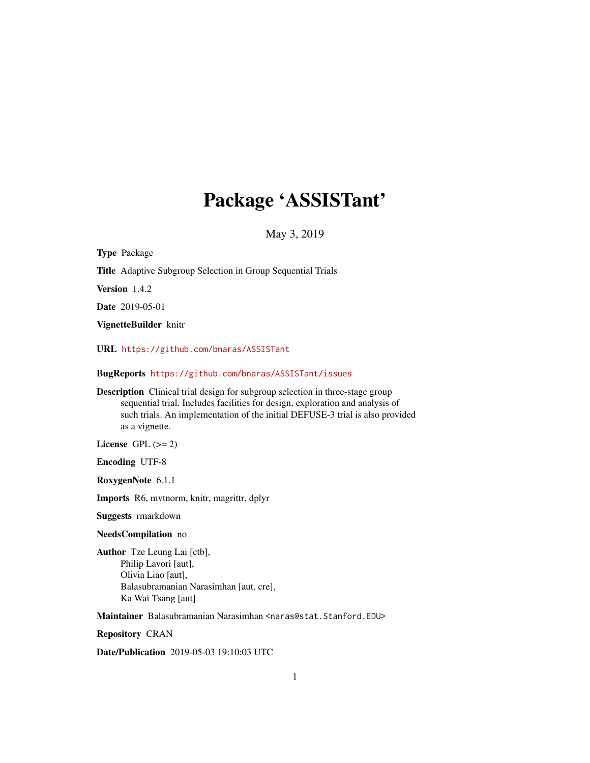# Package 'ASSISTant'

May 3, 2019

<span id="page-0-0"></span>Type Package Title Adaptive Subgroup Selection in Group Sequential Trials Version 1.4.2 Date 2019-05-01 VignetteBuilder knitr URL <https://github.com/bnaras/ASSISTant> BugReports <https://github.com/bnaras/ASSISTant/issues> Description Clinical trial design for subgroup selection in three-stage group sequential trial. Includes facilities for design, exploration and analysis of such trials. An implementation of the initial DEFUSE-3 trial is also provided as a vignette. License GPL  $(>= 2)$ Encoding UTF-8 RoxygenNote 6.1.1 Imports R6, mvtnorm, knitr, magrittr, dplyr Suggests rmarkdown NeedsCompilation no

Author Tze Leung Lai [ctb], Philip Lavori [aut], Olivia Liao [aut], Balasubramanian Narasimhan [aut, cre], Ka Wai Tsang [aut]

Maintainer Balasubramanian Narasimhan <naras@stat.Stanford.EDU>

Repository CRAN

Date/Publication 2019-05-03 19:10:03 UTC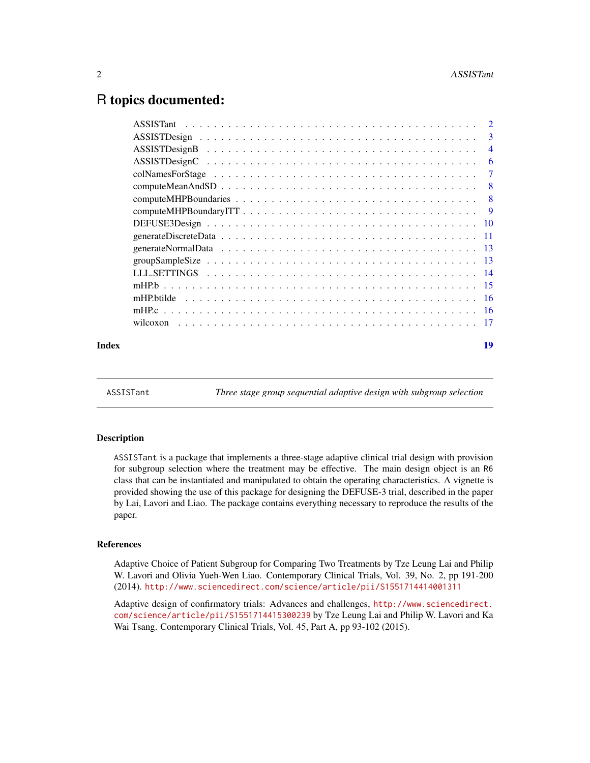# <span id="page-1-0"></span>R topics documented:

|       | wilcoxon |    |
|-------|----------|----|
| Index |          | 19 |

ASSISTant *Three stage group sequential adaptive design with subgroup selection*

#### Description

ASSISTant is a package that implements a three-stage adaptive clinical trial design with provision for subgroup selection where the treatment may be effective. The main design object is an R6 class that can be instantiated and manipulated to obtain the operating characteristics. A vignette is provided showing the use of this package for designing the DEFUSE-3 trial, described in the paper by Lai, Lavori and Liao. The package contains everything necessary to reproduce the results of the paper.

#### References

Adaptive Choice of Patient Subgroup for Comparing Two Treatments by Tze Leung Lai and Philip W. Lavori and Olivia Yueh-Wen Liao. Contemporary Clinical Trials, Vol. 39, No. 2, pp 191-200 (2014). <http://www.sciencedirect.com/science/article/pii/S1551714414001311>

Adaptive design of confirmatory trials: Advances and challenges, [http://www.sciencedirect.](http://www.sciencedirect.com/science/article/pii/S1551714415300239) [com/science/article/pii/S1551714415300239](http://www.sciencedirect.com/science/article/pii/S1551714415300239) by Tze Leung Lai and Philip W. Lavori and Ka Wai Tsang. Contemporary Clinical Trials, Vol. 45, Part A, pp 93-102 (2015).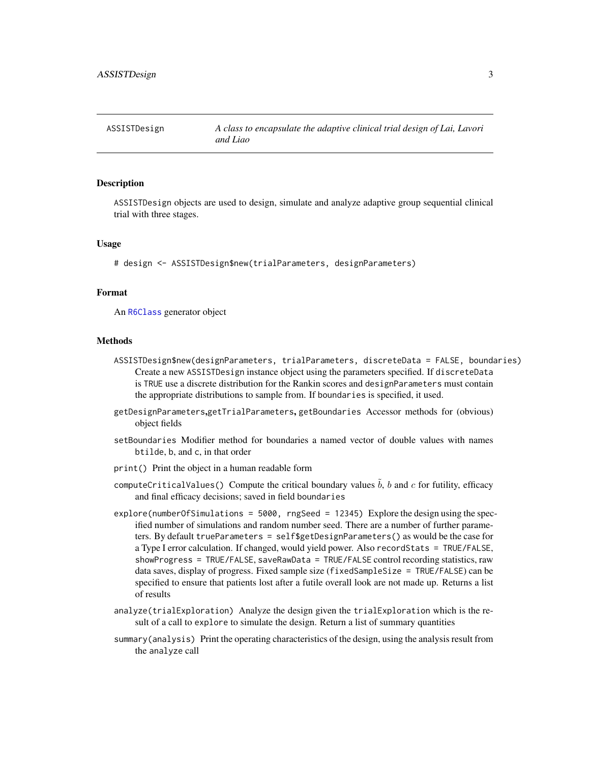<span id="page-2-0"></span>

ASSISTDesign objects are used to design, simulate and analyze adaptive group sequential clinical trial with three stages.

#### Usage

# design <- ASSISTDesign\$new(trialParameters, designParameters)

# Format

An [R6Class](#page-0-0) generator object

#### Methods

- ASSISTDesign\$new(designParameters, trialParameters, discreteData = FALSE, boundaries) Create a new ASSISTDesign instance object using the parameters specified. If discreteData is TRUE use a discrete distribution for the Rankin scores and designParameters must contain the appropriate distributions to sample from. If boundaries is specified, it used.
- getDesignParameters,getTrialParameters, getBoundaries Accessor methods for (obvious) object fields
- setBoundaries Modifier method for boundaries a named vector of double values with names btilde, b, and c, in that order
- print() Print the object in a human readable form
- computeCriticalValues() Compute the critical boundary values  $b$ ,  $b$  and  $c$  for futility, efficacy and final efficacy decisions; saved in field boundaries
- explore(numberOfSimulations = 5000, rngSeed = 12345) Explore the design using the specified number of simulations and random number seed. There are a number of further parameters. By default trueParameters = self\$getDesignParameters() as would be the case for a Type I error calculation. If changed, would yield power. Also recordStats = TRUE/FALSE, showProgress = TRUE/FALSE, saveRawData = TRUE/FALSE control recording statistics, raw data saves, display of progress. Fixed sample size (fixedSampleSize = TRUE/FALSE) can be specified to ensure that patients lost after a futile overall look are not made up. Returns a list of results
- analyze(trialExploration) Analyze the design given the trialExploration which is the result of a call to explore to simulate the design. Return a list of summary quantities
- summary(analysis) Print the operating characteristics of the design, using the analysis result from the analyze call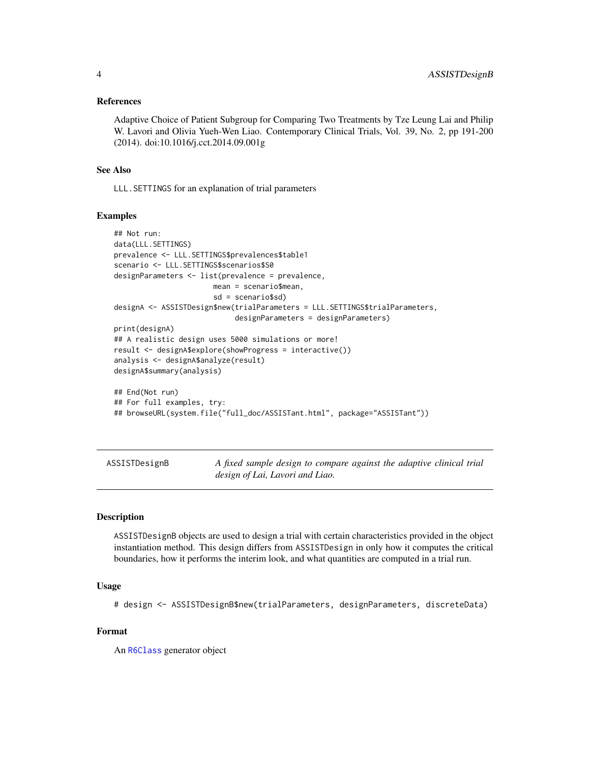#### <span id="page-3-0"></span>References

Adaptive Choice of Patient Subgroup for Comparing Two Treatments by Tze Leung Lai and Philip W. Lavori and Olivia Yueh-Wen Liao. Contemporary Clinical Trials, Vol. 39, No. 2, pp 191-200 (2014). doi:10.1016/j.cct.2014.09.001g

#### See Also

LLL.SETTINGS for an explanation of trial parameters

#### Examples

```
## Not run:
data(LLL.SETTINGS)
prevalence <- LLL.SETTINGS$prevalences$table1
scenario <- LLL.SETTINGS$scenarios$S0
designParameters <- list(prevalence = prevalence,
                       mean = scenario$mean,
                       sd = scenario$sd)
designA <- ASSISTDesign$new(trialParameters = LLL.SETTINGS$trialParameters,
                            designParameters = designParameters)
print(designA)
## A realistic design uses 5000 simulations or more!
result <- designA$explore(showProgress = interactive())
analysis <- designA$analyze(result)
designA$summary(analysis)
## End(Not run)
## For full examples, try:
## browseURL(system.file("full_doc/ASSISTant.html", package="ASSISTant"))
```
ASSISTDesignB *A fixed sample design to compare against the adaptive clinical trial design of Lai, Lavori and Liao.*

# Description

ASSISTDesignB objects are used to design a trial with certain characteristics provided in the object instantiation method. This design differs from ASSISTDesign in only how it computes the critical boundaries, how it performs the interim look, and what quantities are computed in a trial run.

#### Usage

# design <- ASSISTDesignB\$new(trialParameters, designParameters, discreteData)

# Format

An [R6Class](#page-0-0) generator object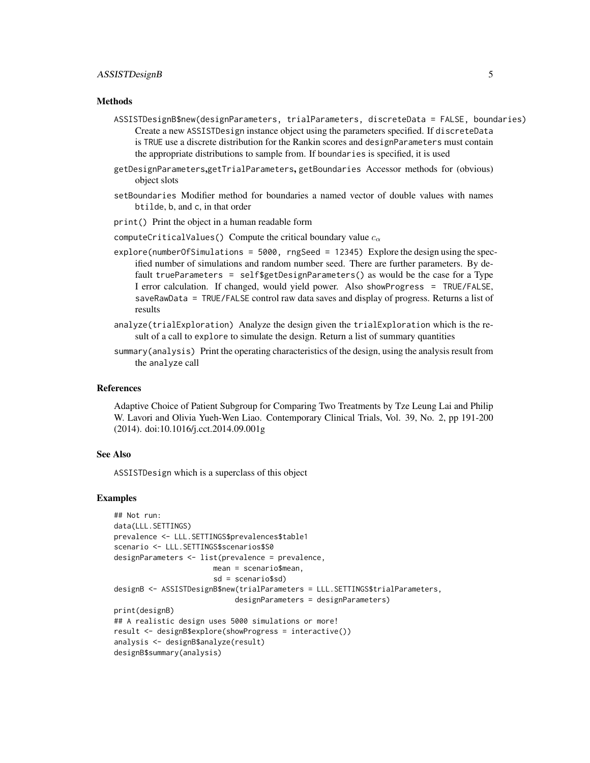# ASSISTDesignB 5

#### Methods

- ASSISTDesignB\$new(designParameters, trialParameters, discreteData = FALSE, boundaries) Create a new ASSISTDesign instance object using the parameters specified. If discreteData is TRUE use a discrete distribution for the Rankin scores and designParameters must contain the appropriate distributions to sample from. If boundaries is specified, it is used
- getDesignParameters,getTrialParameters, getBoundaries Accessor methods for (obvious) object slots
- setBoundaries Modifier method for boundaries a named vector of double values with names btilde, b, and c, in that order
- print() Print the object in a human readable form
- computeCriticalValues() Compute the critical boundary value  $c_{\alpha}$
- explore(numberOfSimulations = 5000, rngSeed = 12345) Explore the design using the specified number of simulations and random number seed. There are further parameters. By default trueParameters = self\$getDesignParameters() as would be the case for a Type I error calculation. If changed, would yield power. Also showProgress = TRUE/FALSE, saveRawData = TRUE/FALSE control raw data saves and display of progress. Returns a list of results
- analyze(trialExploration) Analyze the design given the trialExploration which is the result of a call to explore to simulate the design. Return a list of summary quantities
- summary(analysis) Print the operating characteristics of the design, using the analysis result from the analyze call

#### References

Adaptive Choice of Patient Subgroup for Comparing Two Treatments by Tze Leung Lai and Philip W. Lavori and Olivia Yueh-Wen Liao. Contemporary Clinical Trials, Vol. 39, No. 2, pp 191-200 (2014). doi:10.1016/j.cct.2014.09.001g

#### See Also

ASSISTDesign which is a superclass of this object

# Examples

```
## Not run:
data(LLL.SETTINGS)
prevalence <- LLL.SETTINGS$prevalences$table1
scenario <- LLL.SETTINGS$scenarios$S0
designParameters <- list(prevalence = prevalence,
                       mean = scenario$mean,
                       sd = scenario$sd)
designB <- ASSISTDesignB$new(trialParameters = LLL.SETTINGS$trialParameters,
                            designParameters = designParameters)
print(designB)
## A realistic design uses 5000 simulations or more!
result <- designB$explore(showProgress = interactive())
analysis <- designB$analyze(result)
designB$summary(analysis)
```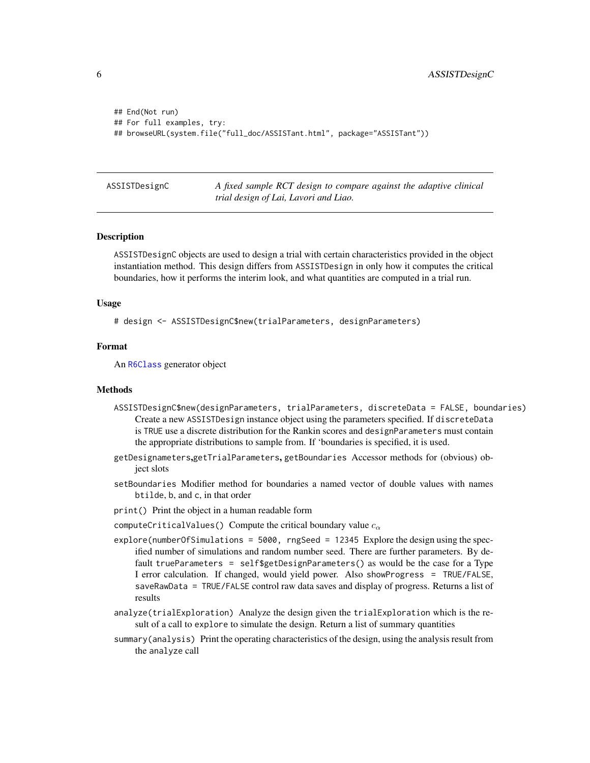```
## End(Not run)
## For full examples, try:
## browseURL(system.file("full_doc/ASSISTant.html", package="ASSISTant"))
```
ASSISTDesignC *A fixed sample RCT design to compare against the adaptive clinical trial design of Lai, Lavori and Liao.*

#### Description

ASSISTDesignC objects are used to design a trial with certain characteristics provided in the object instantiation method. This design differs from ASSISTDesign in only how it computes the critical boundaries, how it performs the interim look, and what quantities are computed in a trial run.

#### Usage

```
# design <- ASSISTDesignC$new(trialParameters, designParameters)
```
#### Format

An [R6Class](#page-0-0) generator object

#### **Methods**

- ASSISTDesignC\$new(designParameters, trialParameters, discreteData = FALSE, boundaries) Create a new ASSISTDesign instance object using the parameters specified. If discreteData is TRUE use a discrete distribution for the Rankin scores and designParameters must contain the appropriate distributions to sample from. If 'boundaries is specified, it is used.
- getDesignameters,getTrialParameters, getBoundaries Accessor methods for (obvious) object slots
- setBoundaries Modifier method for boundaries a named vector of double values with names btilde, b, and c, in that order
- print() Print the object in a human readable form

computeCriticalValues() Compute the critical boundary value  $c_{\alpha}$ 

- explore(numberOfSimulations = 5000, rngSeed = 12345 Explore the design using the specified number of simulations and random number seed. There are further parameters. By default trueParameters = self\$getDesignParameters() as would be the case for a Type I error calculation. If changed, would yield power. Also showProgress = TRUE/FALSE, saveRawData = TRUE/FALSE control raw data saves and display of progress. Returns a list of results
- analyze(trialExploration) Analyze the design given the trialExploration which is the result of a call to explore to simulate the design. Return a list of summary quantities
- summary(analysis) Print the operating characteristics of the design, using the analysis result from the analyze call

<span id="page-5-0"></span>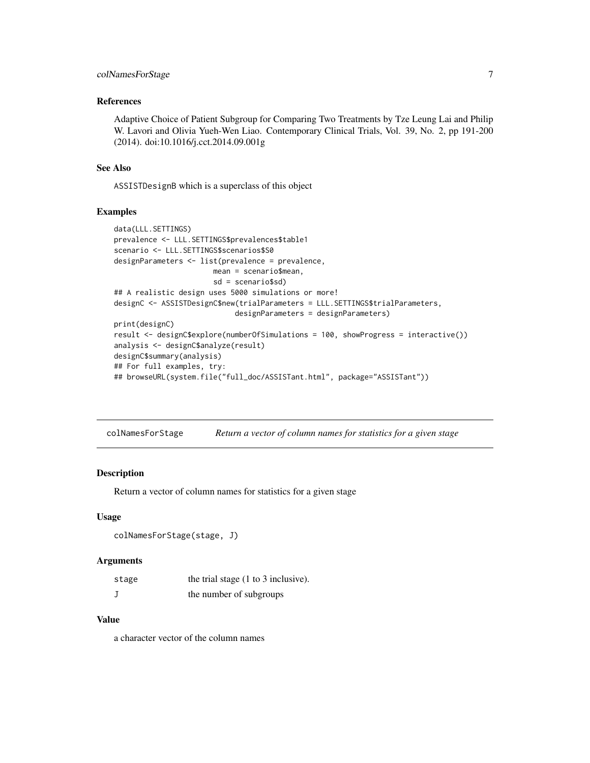# <span id="page-6-0"></span>colNamesForStage 7

#### References

Adaptive Choice of Patient Subgroup for Comparing Two Treatments by Tze Leung Lai and Philip W. Lavori and Olivia Yueh-Wen Liao. Contemporary Clinical Trials, Vol. 39, No. 2, pp 191-200 (2014). doi:10.1016/j.cct.2014.09.001g

#### See Also

ASSISTDesignB which is a superclass of this object

# Examples

```
data(LLL.SETTINGS)
prevalence <- LLL.SETTINGS$prevalences$table1
scenario <- LLL.SETTINGS$scenarios$S0
designParameters <- list(prevalence = prevalence,
                       mean = scenario$mean,
                       sd = scenario$sd)
## A realistic design uses 5000 simulations or more!
designC <- ASSISTDesignC$new(trialParameters = LLL.SETTINGS$trialParameters,
                            designParameters = designParameters)
print(designC)
result <- designC$explore(numberOfSimulations = 100, showProgress = interactive())
analysis <- designC$analyze(result)
designC$summary(analysis)
## For full examples, try:
## browseURL(system.file("full_doc/ASSISTant.html", package="ASSISTant"))
```
colNamesForStage *Return a vector of column names for statistics for a given stage*

#### Description

Return a vector of column names for statistics for a given stage

#### Usage

```
colNamesForStage(stage, J)
```
#### Arguments

| stage | the trial stage $(1 \text{ to } 3 \text{ inclusive})$ . |
|-------|---------------------------------------------------------|
|       | the number of subgroups                                 |

# Value

a character vector of the column names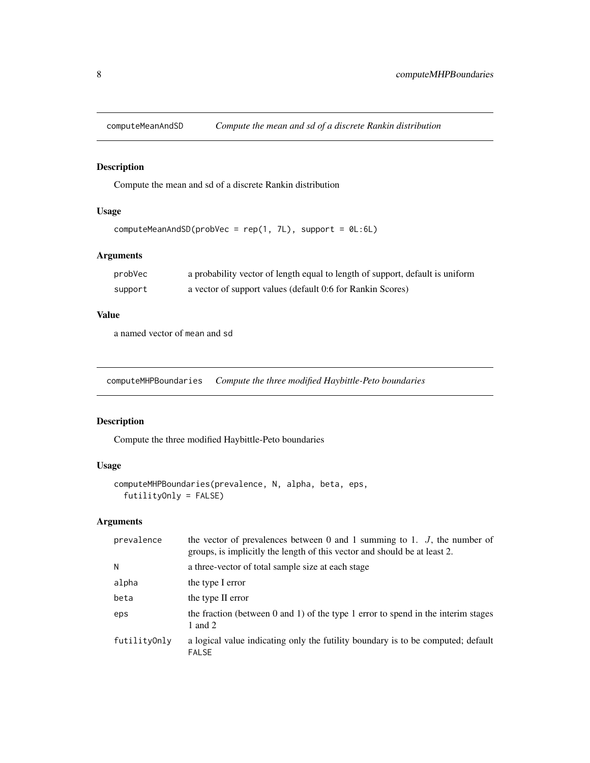<span id="page-7-0"></span>

Compute the mean and sd of a discrete Rankin distribution

# Usage

```
computeMeanAndSD(probVec = rep(1, 7L), support = 0L:6L)
```
# Arguments

| probVec | a probability vector of length equal to length of support, default is uniform |
|---------|-------------------------------------------------------------------------------|
| support | a vector of support values (default 0:6 for Rankin Scores)                    |

# Value

a named vector of mean and sd

computeMHPBoundaries *Compute the three modified Haybittle-Peto boundaries*

# Description

Compute the three modified Haybittle-Peto boundaries

# Usage

```
computeMHPBoundaries(prevalence, N, alpha, beta, eps,
  futilityOnly = FALSE)
```
# Arguments

| prevalence   | the vector of prevalences between 0 and 1 summing to 1. $J$ , the number of<br>groups, is implicitly the length of this vector and should be at least 2. |
|--------------|----------------------------------------------------------------------------------------------------------------------------------------------------------|
| N            | a three-vector of total sample size at each stage                                                                                                        |
| alpha        | the type I error                                                                                                                                         |
| beta         | the type II error                                                                                                                                        |
| eps          | the fraction (between 0 and 1) of the type 1 error to spend in the interim stages<br>1 and 2                                                             |
| futilityOnly | a logical value indicating only the futility boundary is to be computed; default<br><b>FALSE</b>                                                         |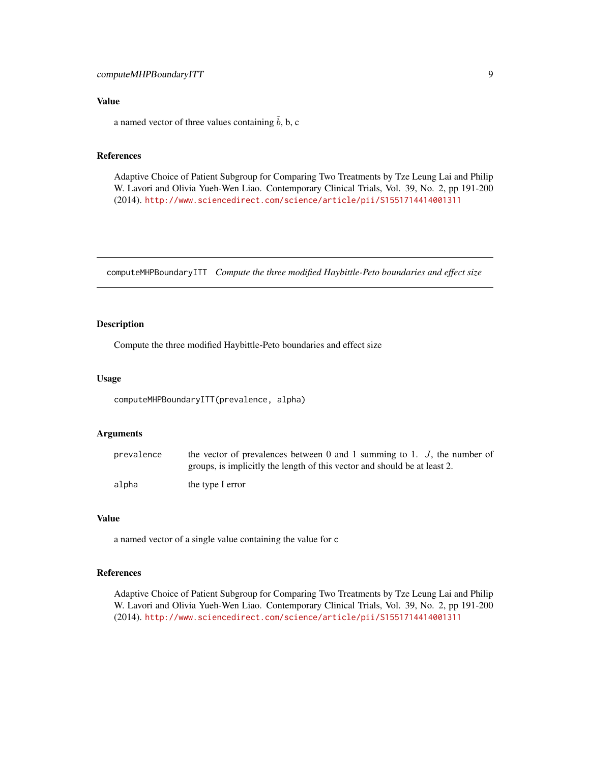# <span id="page-8-0"></span>Value

a named vector of three values containing  $\tilde{b}$ , b, c

# References

Adaptive Choice of Patient Subgroup for Comparing Two Treatments by Tze Leung Lai and Philip W. Lavori and Olivia Yueh-Wen Liao. Contemporary Clinical Trials, Vol. 39, No. 2, pp 191-200 (2014). <http://www.sciencedirect.com/science/article/pii/S1551714414001311>

computeMHPBoundaryITT *Compute the three modified Haybittle-Peto boundaries and effect size*

# Description

Compute the three modified Haybittle-Peto boundaries and effect size

#### Usage

computeMHPBoundaryITT(prevalence, alpha)

#### Arguments

| prevalence | the vector of prevalences between 0 and 1 summing to 1. $J$ , the number of |
|------------|-----------------------------------------------------------------------------|
|            | groups, is implicitly the length of this vector and should be at least 2.   |
| alpha      | the type I error                                                            |

# Value

a named vector of a single value containing the value for c

# References

Adaptive Choice of Patient Subgroup for Comparing Two Treatments by Tze Leung Lai and Philip W. Lavori and Olivia Yueh-Wen Liao. Contemporary Clinical Trials, Vol. 39, No. 2, pp 191-200 (2014). <http://www.sciencedirect.com/science/article/pii/S1551714414001311>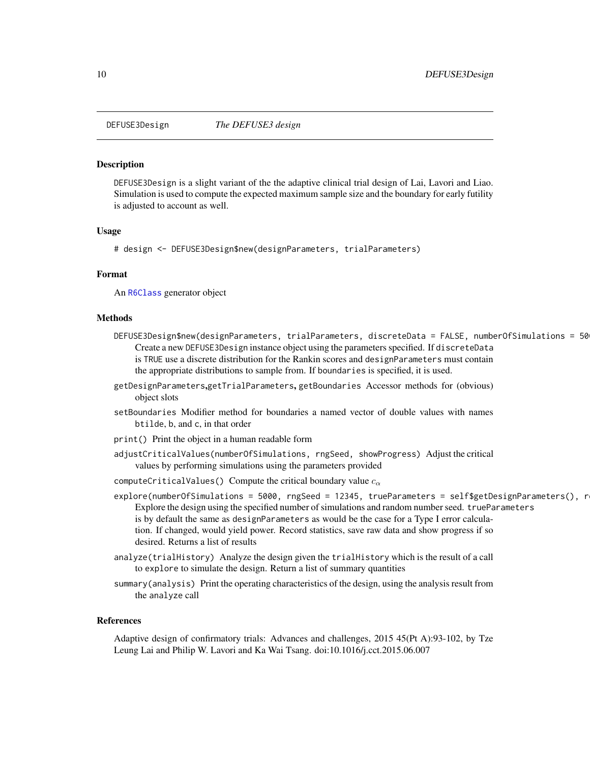<span id="page-9-0"></span>

DEFUSE3Design is a slight variant of the the adaptive clinical trial design of Lai, Lavori and Liao. Simulation is used to compute the expected maximum sample size and the boundary for early futility is adjusted to account as well.

#### Usage

# design <- DEFUSE3Design\$new(designParameters, trialParameters)

# Format

An [R6Class](#page-0-0) generator object

#### Methods

- DEFUSE3Design\$new(designParameters, trialParameters, discreteData = FALSE, numberOfSimulations = 50 Create a new DEFUSE3Design instance object using the parameters specified. If discreteData is TRUE use a discrete distribution for the Rankin scores and designParameters must contain the appropriate distributions to sample from. If boundaries is specified, it is used.
- getDesignParameters,getTrialParameters, getBoundaries Accessor methods for (obvious) object slots
- setBoundaries Modifier method for boundaries a named vector of double values with names btilde, b, and c, in that order
- print() Print the object in a human readable form
- adjustCriticalValues(numberOfSimulations, rngSeed, showProgress) Adjust the critical values by performing simulations using the parameters provided
- computeCriticalValues() Compute the critical boundary value  $c_{\alpha}$
- explore(numberOfSimulations = 5000, rngSeed = 12345, trueParameters = self\$getDesignParameters(), r Explore the design using the specified number of simulations and random number seed. trueParameters is by default the same as designParameters as would be the case for a Type I error calculation. If changed, would yield power. Record statistics, save raw data and show progress if so desired. Returns a list of results
- analyze(trialHistory) Analyze the design given the trialHistory which is the result of a call to explore to simulate the design. Return a list of summary quantities
- summary(analysis) Print the operating characteristics of the design, using the analysis result from the analyze call

#### References

Adaptive design of confirmatory trials: Advances and challenges, 2015 45(Pt A):93-102, by Tze Leung Lai and Philip W. Lavori and Ka Wai Tsang. doi:10.1016/j.cct.2015.06.007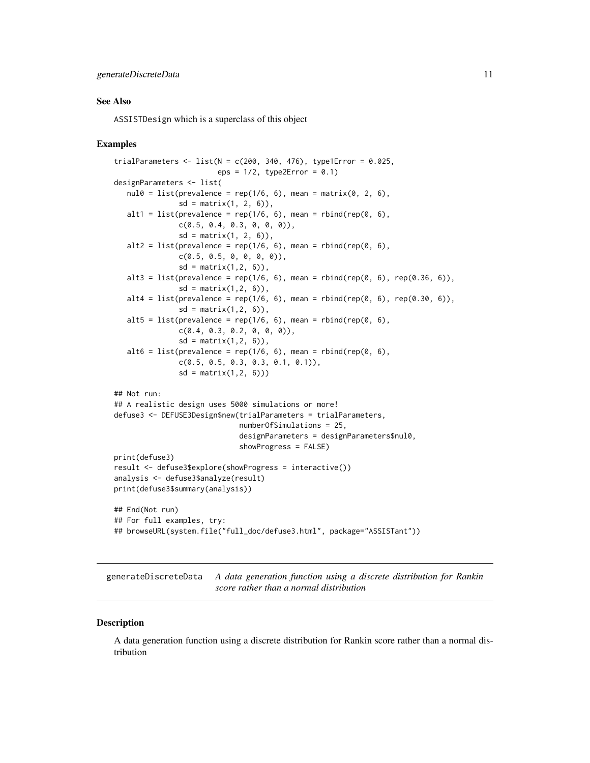#### <span id="page-10-0"></span>See Also

ASSISTDesign which is a superclass of this object

#### Examples

```
trialParameters \le list(N = c(200, 340, 476), type1Error = 0.025,
                        eps = 1/2, type2Error = 0.1)
designParameters <- list(
  null0 = list(prevalence = rep(1/6, 6), mean = matrix(0, 2, 6),sd = matrix(1, 2, 6),
  alt1 = list(prevalence = rep(1/6, 6), mean = rbind(rep(0, 6),
              c(0.5, 0.4, 0.3, 0, 0, 0),
               sd = matrix(1, 2, 6),
  alt2 = list(prevalence = rep(1/6, 6), mean = rhind(rep(0, 6)),c(0.5, 0.5, 0, 0, 0, 0),
               sd = matrix(1, 2, 6),
  alt3 = list(prevalence = rep(1/6, 6), mean = rbind(rep(0, 6), rep(0.36, 6)),
               sd = matrix(1, 2, 6),
  alt4 = list(prevalence = rep(1/6, 6), mean = rbind(rep(0, 6), rep(0.30, 6)),sd = matrix(1, 2, 6),
  alt5 = list(prevalence = rep(1/6, 6), mean = rbind(rep(0, 6),
               c(0.4, 0.3, 0.2, 0, 0, 0),
               sd = matrix(1, 2, 6),
  alt6 = list(prevalence = rep(1/6, 6), mean = rbind(rep(0, 6)),c(0.5, 0.5, 0.3, 0.3, 0.1, 0.1)),
               sd = matrix(1, 2, 6))## Not run:
## A realistic design uses 5000 simulations or more!
defuse3 <- DEFUSE3Design$new(trialParameters = trialParameters,
                             numberOfSimulations = 25,
                             designParameters = designParameters$nul0,
                             showProgress = FALSE)
print(defuse3)
result <- defuse3$explore(showProgress = interactive())
analysis <- defuse3$analyze(result)
print(defuse3$summary(analysis))
## End(Not run)
## For full examples, try:
## browseURL(system.file("full_doc/defuse3.html", package="ASSISTant"))
```
generateDiscreteData *A data generation function using a discrete distribution for Rankin score rather than a normal distribution*

#### **Description**

A data generation function using a discrete distribution for Rankin score rather than a normal distribution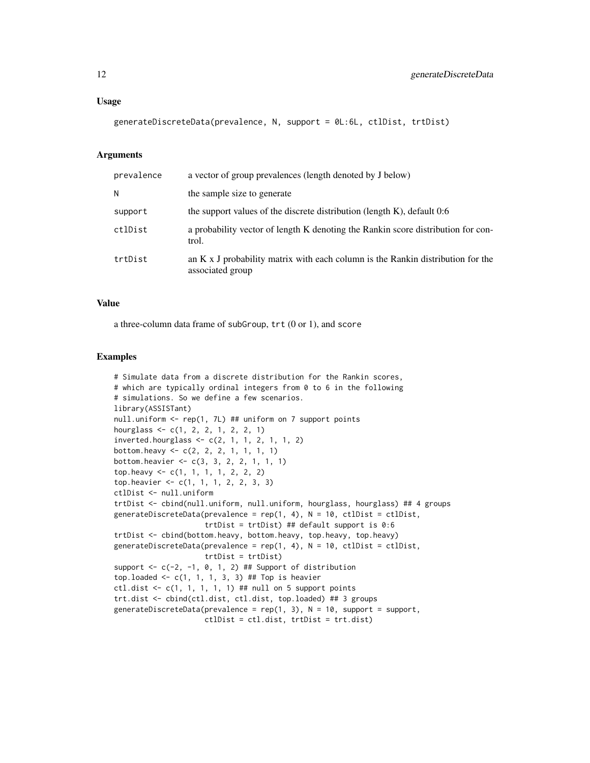generateDiscreteData(prevalence, N, support = 0L:6L, ctlDist, trtDist)

# Arguments

| prevalence | a vector of group prevalences (length denoted by J below)                                                  |
|------------|------------------------------------------------------------------------------------------------------------|
| N          | the sample size to generate                                                                                |
| support    | the support values of the discrete distribution (length $K$ ), default 0:6                                 |
| ctlDist    | a probability vector of length K denoting the Rankin score distribution for con-<br>trol.                  |
| trtDist    | an $K \times J$ probability matrix with each column is the Rankin distribution for the<br>associated group |

# Value

a three-column data frame of subGroup, trt (0 or 1), and score

#### Examples

```
# Simulate data from a discrete distribution for the Rankin scores,
# which are typically ordinal integers from 0 to 6 in the following
# simulations. So we define a few scenarios.
library(ASSISTant)
null.uniform <- rep(1, 7L) ## uniform on 7 support points
hourglass <- c(1, 2, 2, 1, 2, 2, 1)
inverted.hourglass \leq c(2, 1, 1, 2, 1, 1, 2)bottom.heavy <- c(2, 2, 2, 1, 1, 1, 1)
bottom.heavier <- c(3, 3, 2, 2, 1, 1, 1)
top.heavy <- c(1, 1, 1, 1, 2, 2, 2)
top.heavier <- c(1, 1, 1, 2, 2, 3, 3)
ctlDist <- null.uniform
trtDist <- cbind(null.uniform, null.uniform, hourglass, hourglass) ## 4 groups
generateDiscreteData(prevalence = rep(1, 4), N = 10, ctlDist = ctlDist,
                     trtDist = trtDist) ## default support is 0:6
trtDist <- cbind(bottom.heavy, bottom.heavy, top.heavy, top.heavy)
generateDiscreteData(prevalence = rep(1, 4), N = 10, ctlDist = ctlDist,
                     trtDist = trtDist)
support \leq -c(-2, -1, 0, 1, 2) ## Support of distribution
top.loaded \leq c(1, 1, 1, 3, 3) ## Top is heavier
ctl.dist \leq c(1, 1, 1, 1, 1) ## null on 5 support points
trt.dist <- cbind(ctl.dist, ctl.dist, top.loaded) ## 3 groups
generateDiscreteData(prevalence = rep(1, 3), N = 10, support = support,
                     ctlDist = ctl.dist, trtDist = trt.dist)
```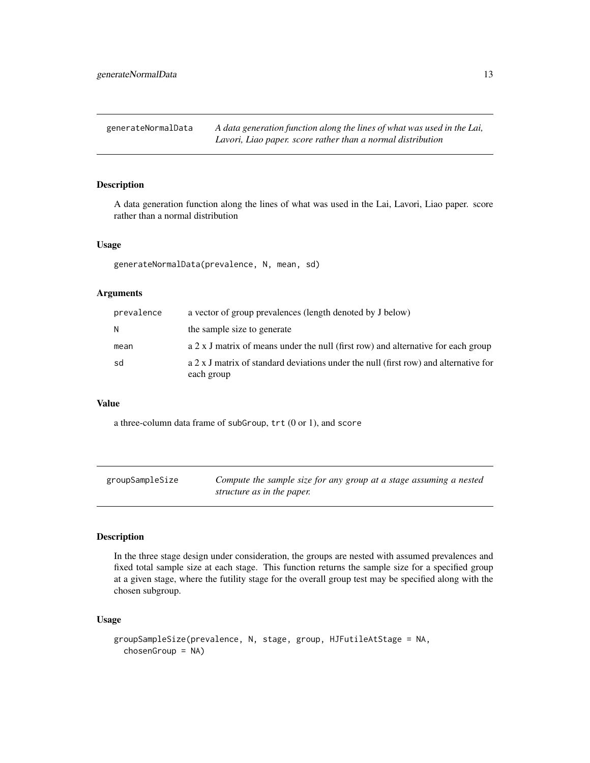<span id="page-12-0"></span>generateNormalData *A data generation function along the lines of what was used in the Lai, Lavori, Liao paper. score rather than a normal distribution*

# Description

A data generation function along the lines of what was used in the Lai, Lavori, Liao paper. score rather than a normal distribution

# Usage

generateNormalData(prevalence, N, mean, sd)

# Arguments

| prevalence | a vector of group prevalences (length denoted by J below)                                          |
|------------|----------------------------------------------------------------------------------------------------|
| N          | the sample size to generate                                                                        |
| mean       | a 2 x J matrix of means under the null (first row) and alternative for each group                  |
| sd         | a 2 x J matrix of standard deviations under the null (first row) and alternative for<br>each group |

# Value

a three-column data frame of subGroup, trt (0 or 1), and score

| groupSampleSize | Compute the sample size for any group at a stage assuming a nested |
|-----------------|--------------------------------------------------------------------|
|                 | structure as in the paper.                                         |

# Description

In the three stage design under consideration, the groups are nested with assumed prevalences and fixed total sample size at each stage. This function returns the sample size for a specified group at a given stage, where the futility stage for the overall group test may be specified along with the chosen subgroup.

# Usage

```
groupSampleSize(prevalence, N, stage, group, HJFutileAtStage = NA,
  chosenGroup = NA)
```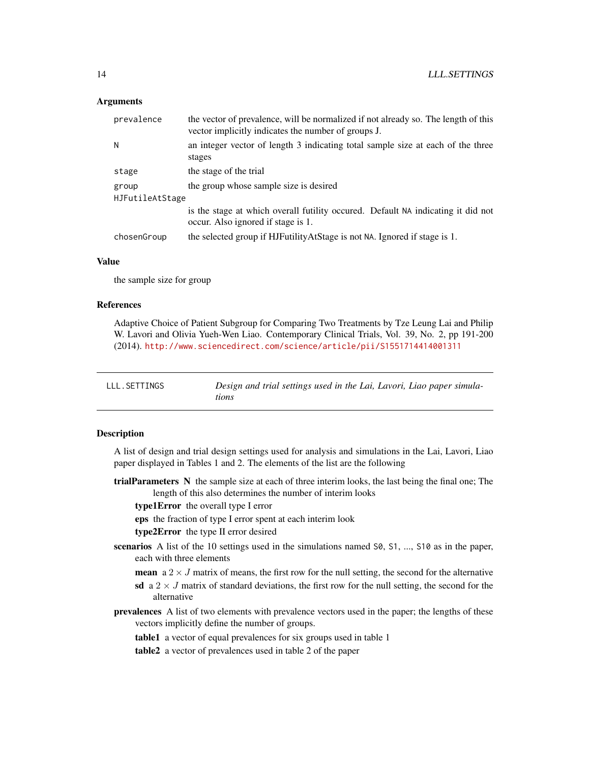# <span id="page-13-0"></span>**Arguments**

| prevalence      | the vector of prevalence, will be normalized if not already so. The length of this<br>vector implicitly indicates the number of groups J. |  |
|-----------------|-------------------------------------------------------------------------------------------------------------------------------------------|--|
| N               | an integer vector of length 3 indicating total sample size at each of the three<br>stages                                                 |  |
| stage           | the stage of the trial                                                                                                                    |  |
| group           | the group whose sample size is desired                                                                                                    |  |
| HJFutileAtStage |                                                                                                                                           |  |
|                 | is the stage at which overall futility occured. Default NA indicating it did not<br>occur. Also ignored if stage is 1.                    |  |
| chosenGroup     | the selected group if HJFutilityAtStage is not NA. Ignored if stage is 1.                                                                 |  |

#### Value

the sample size for group

#### References

Adaptive Choice of Patient Subgroup for Comparing Two Treatments by Tze Leung Lai and Philip W. Lavori and Olivia Yueh-Wen Liao. Contemporary Clinical Trials, Vol. 39, No. 2, pp 191-200 (2014). <http://www.sciencedirect.com/science/article/pii/S1551714414001311>

| LLL.SETTINGS | Design and trial settings used in the Lai, Lavori, Liao paper simula- |
|--------------|-----------------------------------------------------------------------|
|              | tions                                                                 |

# **Description**

A list of design and trial design settings used for analysis and simulations in the Lai, Lavori, Liao paper displayed in Tables 1 and 2. The elements of the list are the following

trialParameters N the sample size at each of three interim looks, the last being the final one; The length of this also determines the number of interim looks

type1Error the overall type I error

eps the fraction of type I error spent at each interim look

type2Error the type II error desired

- scenarios A list of the 10 settings used in the simulations named S0, S1, ..., S10 as in the paper, each with three elements
	- **mean** a  $2 \times J$  matrix of means, the first row for the null setting, the second for the alternative sd a  $2 \times J$  matrix of standard deviations, the first row for the null setting, the second for the alternative
- prevalences A list of two elements with prevalence vectors used in the paper; the lengths of these vectors implicitly define the number of groups.

table1 a vector of equal prevalences for six groups used in table 1

table2 a vector of prevalences used in table 2 of the paper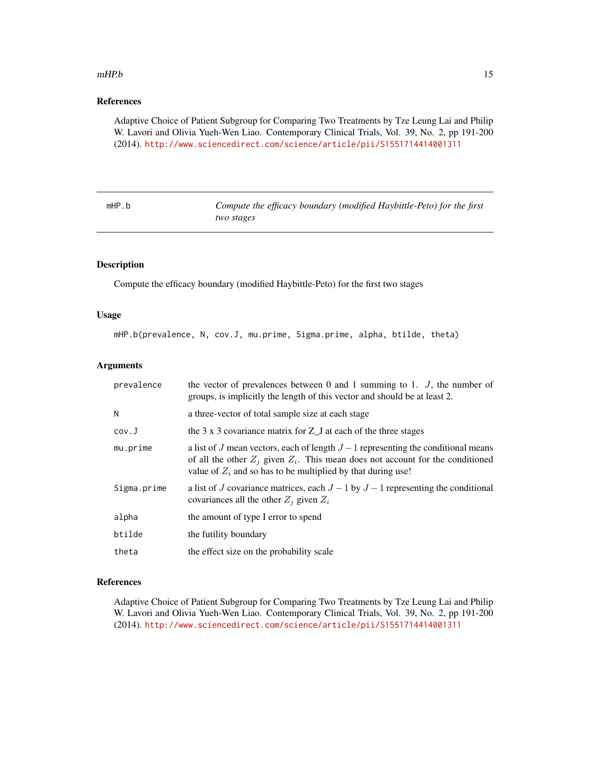#### <span id="page-14-0"></span> $mHP.b$  15

# References

Adaptive Choice of Patient Subgroup for Comparing Two Treatments by Tze Leung Lai and Philip W. Lavori and Olivia Yueh-Wen Liao. Contemporary Clinical Trials, Vol. 39, No. 2, pp 191-200 (2014). <http://www.sciencedirect.com/science/article/pii/S1551714414001311>

| mHP.b | Compute the efficacy boundary (modified Haybittle-Peto) for the first |
|-------|-----------------------------------------------------------------------|
|       | two stages                                                            |

# Description

Compute the efficacy boundary (modified Haybittle-Peto) for the first two stages

#### Usage

mHP.b(prevalence, N, cov.J, mu.prime, Sigma.prime, alpha, btilde, theta)

# Arguments

| prevalence  | the vector of prevalences between 0 and 1 summing to 1. $J$ , the number of<br>groups, is implicitly the length of this vector and should be at least 2.                                                                                   |
|-------------|--------------------------------------------------------------------------------------------------------------------------------------------------------------------------------------------------------------------------------------------|
| N           | a three-vector of total sample size at each stage                                                                                                                                                                                          |
| cov.J       | the 3 x 3 covariance matrix for Z_J at each of the three stages                                                                                                                                                                            |
| mu.prime    | a list of J mean vectors, each of length $J-1$ representing the conditional means<br>of all the other $Z_i$ given $Z_i$ . This mean does not account for the conditioned<br>value of $Z_i$ and so has to be multiplied by that during use! |
| Sigma.prime | a list of J covariance matrices, each $J-1$ by $J-1$ representing the conditional<br>covariances all the other $Z_i$ given $Z_i$                                                                                                           |
| alpha       | the amount of type I error to spend                                                                                                                                                                                                        |
| btilde      | the futility boundary                                                                                                                                                                                                                      |
| theta       | the effect size on the probability scale                                                                                                                                                                                                   |

#### References

Adaptive Choice of Patient Subgroup for Comparing Two Treatments by Tze Leung Lai and Philip W. Lavori and Olivia Yueh-Wen Liao. Contemporary Clinical Trials, Vol. 39, No. 2, pp 191-200 (2014). <http://www.sciencedirect.com/science/article/pii/S1551714414001311>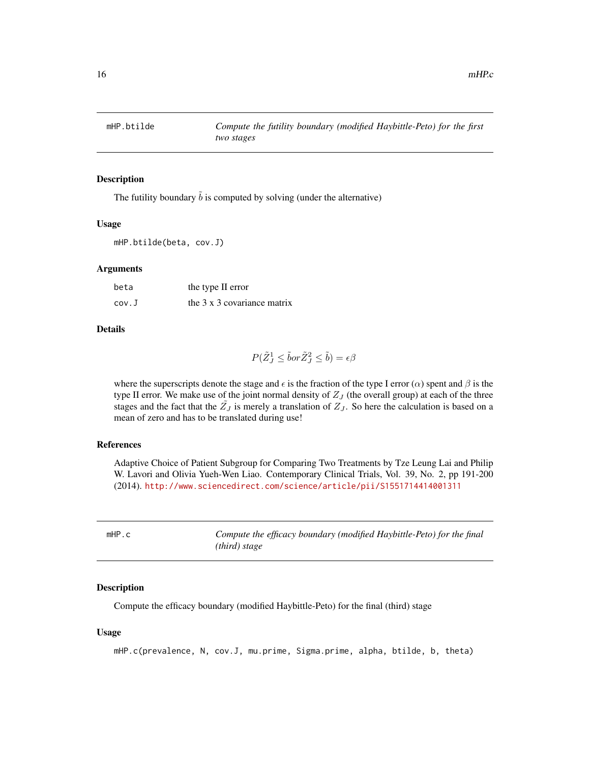<span id="page-15-0"></span>

The futility boundary  $\tilde{b}$  is computed by solving (under the alternative)

#### Usage

mHP.btilde(beta, cov.J)

## **Arguments**

| beta  | the type II error                  |
|-------|------------------------------------|
| cov.J | the $3 \times 3$ covariance matrix |

# Details

$$
P(\tilde{Z}^1_J \le \tilde{b}or \tilde{Z}^2_J \le \tilde{b}) = \epsilon \beta
$$

where the superscripts denote the stage and  $\epsilon$  is the fraction of the type I error ( $\alpha$ ) spent and  $\beta$  is the type II error. We make use of the joint normal density of  $Z_J$  (the overall group) at each of the three stages and the fact that the  $\tilde{Z}_J$  is merely a translation of  $Z_J$ . So here the calculation is based on a mean of zero and has to be translated during use!

# References

Adaptive Choice of Patient Subgroup for Comparing Two Treatments by Tze Leung Lai and Philip W. Lavori and Olivia Yueh-Wen Liao. Contemporary Clinical Trials, Vol. 39, No. 2, pp 191-200 (2014). <http://www.sciencedirect.com/science/article/pii/S1551714414001311>

| mHP.c | Compute the efficacy boundary (modified Haybittle-Peto) for the final |
|-------|-----------------------------------------------------------------------|
|       | (third) stage                                                         |

#### Description

Compute the efficacy boundary (modified Haybittle-Peto) for the final (third) stage

#### Usage

```
mHP.c(prevalence, N, cov.J, mu.prime, Sigma.prime, alpha, btilde, b, theta)
```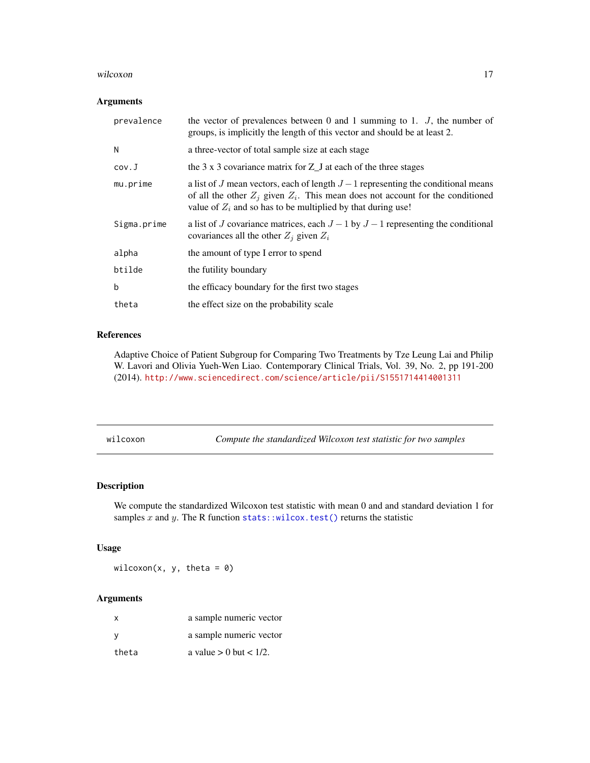#### <span id="page-16-0"></span>wilcoxon and the state of the state of the state of the state of the state of the state of the state of the state of the state of the state of the state of the state of the state of the state of the state of the state of t

# Arguments

| prevalence  | the vector of prevalences between 0 and 1 summing to 1. $J$ , the number of<br>groups, is implicitly the length of this vector and should be at least 2.                                                                                   |
|-------------|--------------------------------------------------------------------------------------------------------------------------------------------------------------------------------------------------------------------------------------------|
| N           | a three-vector of total sample size at each stage                                                                                                                                                                                          |
| cov.J       | the $3 \times 3$ covariance matrix for $Z_{\mathcal{L}}$ at each of the three stages                                                                                                                                                       |
| mu.prime    | a list of J mean vectors, each of length $J-1$ representing the conditional means<br>of all the other $Z_i$ given $Z_i$ . This mean does not account for the conditioned<br>value of $Z_i$ and so has to be multiplied by that during use! |
| Sigma.prime | a list of J covariance matrices, each $J-1$ by $J-1$ representing the conditional<br>covariances all the other $Z_i$ given $Z_i$                                                                                                           |
| alpha       | the amount of type I error to spend                                                                                                                                                                                                        |
| btilde      | the futility boundary                                                                                                                                                                                                                      |
| b           | the efficacy boundary for the first two stages                                                                                                                                                                                             |
| theta       | the effect size on the probability scale                                                                                                                                                                                                   |

# References

Adaptive Choice of Patient Subgroup for Comparing Two Treatments by Tze Leung Lai and Philip W. Lavori and Olivia Yueh-Wen Liao. Contemporary Clinical Trials, Vol. 39, No. 2, pp 191-200 (2014). <http://www.sciencedirect.com/science/article/pii/S1551714414001311>

wilcoxon *Compute the standardized Wilcoxon test statistic for two samples*

# Description

We compute the standardized Wilcoxon test statistic with mean 0 and and standard deviation 1 for samples x and y. The R function [stats::wilcox.test\(\)](#page-0-0) returns the statistic

# Usage

wilcoxon(x, y, theta =  $0$ )

# Arguments

| $\mathsf{x}$ | a sample numeric vector     |
|--------------|-----------------------------|
| v            | a sample numeric vector     |
| theta        | a value $> 0$ but $< 1/2$ . |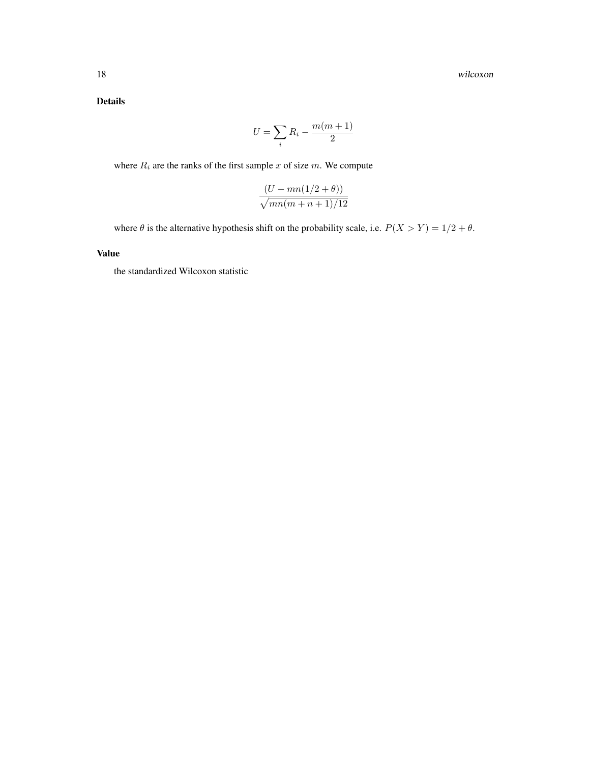Details

$$
U = \sum_{i} R_i - \frac{m(m+1)}{2}
$$

where  $R_i$  are the ranks of the first sample x of size m. We compute

$$
\frac{(U - mn(1/2 + \theta))}{\sqrt{mn(m+n+1)/12}}
$$

where  $\theta$  is the alternative hypothesis shift on the probability scale, i.e.  $P(X > Y) = 1/2 + \theta$ .

# Value

the standardized Wilcoxon statistic